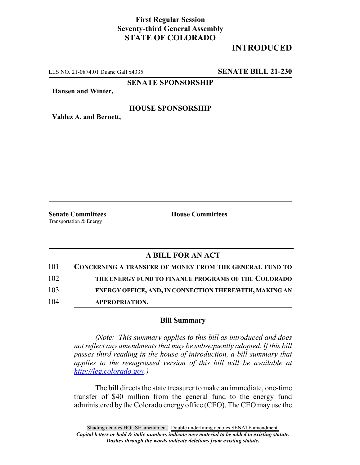## **First Regular Session Seventy-third General Assembly STATE OF COLORADO**

# **INTRODUCED**

LLS NO. 21-0874.01 Duane Gall x4335 **SENATE BILL 21-230**

**SENATE SPONSORSHIP**

**Hansen and Winter,**

### **HOUSE SPONSORSHIP**

**Valdez A. and Bernett,**

Transportation & Energy

**Senate Committees House Committees** 

## **A BILL FOR AN ACT**

| 101 | <b>CONCERNING A TRANSFER OF MONEY FROM THE GENERAL FUND TO</b> |
|-----|----------------------------------------------------------------|
| 102 | THE ENERGY FUND TO FINANCE PROGRAMS OF THE COLORADO            |
| 103 | ENERGY OFFICE, AND, IN CONNECTION THEREWITH, MAKING AN         |
| 104 | APPROPRIATION.                                                 |

#### **Bill Summary**

*(Note: This summary applies to this bill as introduced and does not reflect any amendments that may be subsequently adopted. If this bill passes third reading in the house of introduction, a bill summary that applies to the reengrossed version of this bill will be available at http://leg.colorado.gov.)*

The bill directs the state treasurer to make an immediate, one-time transfer of \$40 million from the general fund to the energy fund administered by the Colorado energy office (CEO). The CEO may use the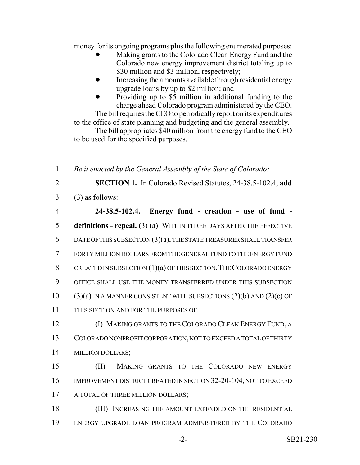money for its ongoing programs plus the following enumerated purposes:

- Making grants to the Colorado Clean Energy Fund and the Colorado new energy improvement district totaling up to \$30 million and \$3 million, respectively;
- Increasing the amounts available through residential energy upgrade loans by up to \$2 million; and
- ! Providing up to \$5 million in additional funding to the charge ahead Colorado program administered by the CEO.

The bill requires the CEO to periodically report on its expenditures to the office of state planning and budgeting and the general assembly.

The bill appropriates \$40 million from the energy fund to the CEO to be used for the specified purposes.

 *Be it enacted by the General Assembly of the State of Colorado:* **SECTION 1.** In Colorado Revised Statutes, 24-38.5-102.4, **add**  $3 \qquad (3)$  as follows: **24-38.5-102.4. Energy fund - creation - use of fund - definitions - repeal.** (3) (a) WITHIN THREE DAYS AFTER THE EFFECTIVE DATE OF THIS SUBSECTION (3)(a), THE STATE TREASURER SHALL TRANSFER FORTY MILLION DOLLARS FROM THE GENERAL FUND TO THE ENERGY FUND 8 CREATED IN SUBSECTION  $(1)(a)$  OF THIS SECTION. THE COLORADO ENERGY OFFICE SHALL USE THE MONEY TRANSFERRED UNDER THIS SUBSECTION  $(3)(a)$  IN A MANNER CONSISTENT WITH SUBSECTIONS  $(2)(b)$  AND  $(2)(c)$  OF THIS SECTION AND FOR THE PURPOSES OF: (I) MAKING GRANTS TO THE COLORADO CLEAN ENERGY FUND, A COLORADO NONPROFIT CORPORATION, NOT TO EXCEED A TOTAL OF THIRTY MILLION DOLLARS; (II) MAKING GRANTS TO THE COLORADO NEW ENERGY 16 IMPROVEMENT DISTRICT CREATED IN SECTION 32-20-104, NOT TO EXCEED 17 A TOTAL OF THREE MILLION DOLLARS; 18 (III) INCREASING THE AMOUNT EXPENDED ON THE RESIDENTIAL ENERGY UPGRADE LOAN PROGRAM ADMINISTERED BY THE COLORADO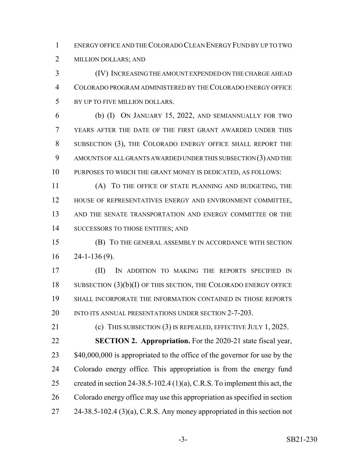ENERGY OFFICE AND THE COLORADO CLEAN ENERGY FUND BY UP TO TWO

MILLION DOLLARS; AND

 (IV) INCREASING THE AMOUNT EXPENDED ON THE CHARGE AHEAD COLORADO PROGRAM ADMINISTERED BY THE COLORADO ENERGY OFFICE BY UP TO FIVE MILLION DOLLARS.

 (b) (I) ON JANUARY 15, 2022, AND SEMIANNUALLY FOR TWO YEARS AFTER THE DATE OF THE FIRST GRANT AWARDED UNDER THIS SUBSECTION (3), THE COLORADO ENERGY OFFICE SHALL REPORT THE AMOUNTS OF ALL GRANTS AWARDED UNDER THIS SUBSECTION (3) AND THE PURPOSES TO WHICH THE GRANT MONEY IS DEDICATED, AS FOLLOWS:

 (A) TO THE OFFICE OF STATE PLANNING AND BUDGETING, THE HOUSE OF REPRESENTATIVES ENERGY AND ENVIRONMENT COMMITTEE, AND THE SENATE TRANSPORTATION AND ENERGY COMMITTEE OR THE 14 SUCCESSORS TO THOSE ENTITIES; AND

 (B) TO THE GENERAL ASSEMBLY IN ACCORDANCE WITH SECTION  $16 \quad 24 - 1 - 136 \, (9)$ .

 (II) IN ADDITION TO MAKING THE REPORTS SPECIFIED IN 18 SUBSECTION (3)(b)(I) OF THIS SECTION, THE COLORADO ENERGY OFFICE SHALL INCORPORATE THE INFORMATION CONTAINED IN THOSE REPORTS 20 INTO ITS ANNUAL PRESENTATIONS UNDER SECTION 2-7-203.

21 (c) THIS SUBSECTION (3) IS REPEALED, EFFECTIVE JULY 1, 2025. **SECTION 2. Appropriation.** For the 2020-21 state fiscal year, 23 \$40,000,000 is appropriated to the office of the governor for use by the Colorado energy office. This appropriation is from the energy fund 25 created in section 24-38.5-102.4 (1)(a), C.R.S. To implement this act, the Colorado energy office may use this appropriation as specified in section 24-38.5-102.4 (3)(a), C.R.S. Any money appropriated in this section not